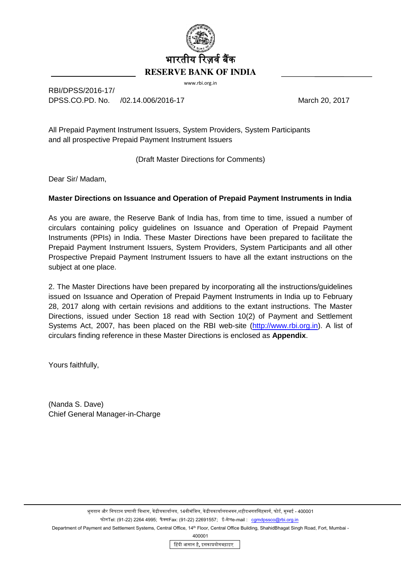

www.rbi.org.in

RBI/DPSS/2016-17/ DPSS.CO.PD. No. (02.14.006/2016-17 March 20, 2017

All Prepaid Payment Instrument Issuers, System Providers, System Participants and all prospective Prepaid Payment Instrument Issuers

(Draft Master Directions for Comments)

Dear Sir/ Madam,

## **Master Directions on Issuance and Operation of Prepaid Payment Instruments in India**

As you are aware, the Reserve Bank of India has, from time to time, issued a number of circulars containing policy guidelines on Issuance and Operation of Prepaid Payment Instruments (PPIs) in India. These Master Directions have been prepared to facilitate the Prepaid Payment Instrument Issuers, System Providers, System Participants and all other Prospective Prepaid Payment Instrument Issuers to have all the extant instructions on the subject at one place.

2. The Master Directions have been prepared by incorporating all the instructions/guidelines issued on Issuance and Operation of Prepaid Payment Instruments in India up to February 28, 2017 along with certain revisions and additions to the extant instructions. The Master Directions, issued under Section 18 read with Section 10(2) of Payment and Settlement Systems Act, 2007, has been placed on the RBI web-site [\(http://www.rbi.org.in\)](http://www.rbi.org.in/). A list of circulars finding reference in these Master Directions is enclosed as **Appendix**.

Yours faithfully,

(Nanda S. Dave) Chief General Manager-in-Charge

भुगतान और निपटान प्रणाली विभाग, केंद्रीयकार्यालय, 14वीमंजिल, केंद्रीयकार्यालयभवन,शहीदभगतसिंहमार्ग, फोर्ट, मुम्बई - 400001

फोनTel: (91-22) 2264 4995; फैक्सFax: (91-22) 22691557; ई-मेलe-mail : [cgmdpssco@rbi.org.in](mailto:cgmdpssco@rbi.org.in)

Department of Payment and Settlement Systems, Central Office, 14<sup>th</sup> Floor, Central Office Building, ShahidBhagat Singh Road, Fort, Mumbai -

400001

हिंदी आसान है**,** इसकाप्रयोगबढ़ाइए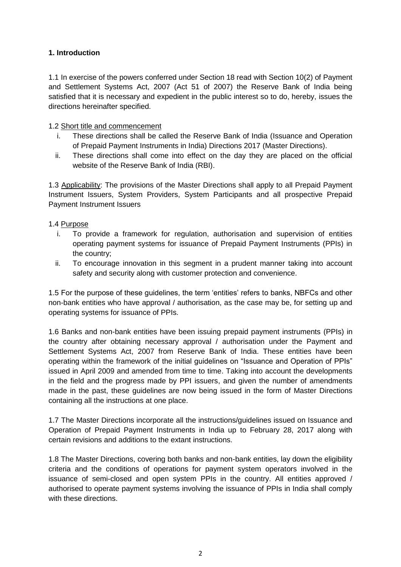## **1. Introduction**

1.1 In exercise of the powers conferred under Section 18 read with Section 10(2) of Payment and Settlement Systems Act, 2007 (Act 51 of 2007) the Reserve Bank of India being satisfied that it is necessary and expedient in the public interest so to do, hereby, issues the directions hereinafter specified.

#### 1.2 Short title and commencement

- i. These directions shall be called the Reserve Bank of India (Issuance and Operation of Prepaid Payment Instruments in India) Directions 2017 (Master Directions).
- ii. These directions shall come into effect on the day they are placed on the official website of the Reserve Bank of India (RBI).

1.3 Applicability: The provisions of the Master Directions shall apply to all Prepaid Payment Instrument Issuers, System Providers, System Participants and all prospective Prepaid Payment Instrument Issuers

## 1.4 Purpose

- i. To provide a framework for regulation, authorisation and supervision of entities operating payment systems for issuance of Prepaid Payment Instruments (PPIs) in the country;
- ii. To encourage innovation in this segment in a prudent manner taking into account safety and security along with customer protection and convenience.

1.5 For the purpose of these guidelines, the term 'entities' refers to banks, NBFCs and other non-bank entities who have approval / authorisation, as the case may be, for setting up and operating systems for issuance of PPIs.

1.6 Banks and non-bank entities have been issuing prepaid payment instruments (PPIs) in the country after obtaining necessary approval / authorisation under the Payment and Settlement Systems Act, 2007 from Reserve Bank of India. These entities have been operating within the framework of the initial guidelines on "Issuance and Operation of PPIs" issued in April 2009 and amended from time to time. Taking into account the developments in the field and the progress made by PPI issuers, and given the number of amendments made in the past, these guidelines are now being issued in the form of Master Directions containing all the instructions at one place.

1.7 The Master Directions incorporate all the instructions/guidelines issued on Issuance and Operation of Prepaid Payment Instruments in India up to February 28, 2017 along with certain revisions and additions to the extant instructions.

1.8 The Master Directions, covering both banks and non-bank entities, lay down the eligibility criteria and the conditions of operations for payment system operators involved in the issuance of semi-closed and open system PPIs in the country. All entities approved / authorised to operate payment systems involving the issuance of PPIs in India shall comply with these directions.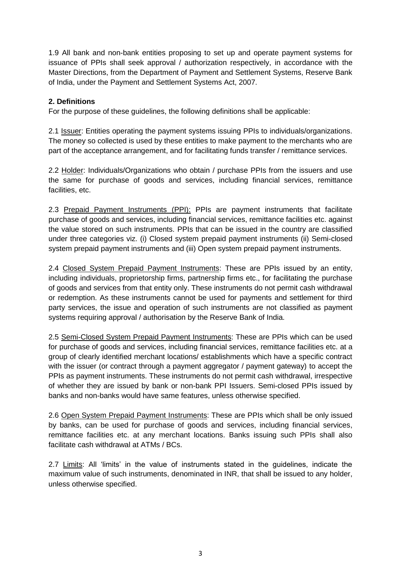1.9 All bank and non-bank entities proposing to set up and operate payment systems for issuance of PPIs shall seek approval / authorization respectively, in accordance with the Master Directions, from the Department of Payment and Settlement Systems, Reserve Bank of India, under the Payment and Settlement Systems Act, 2007.

## **2. Definitions**

For the purpose of these guidelines, the following definitions shall be applicable:

2.1 Issuer: Entities operating the payment systems issuing PPIs to individuals/organizations. The money so collected is used by these entities to make payment to the merchants who are part of the acceptance arrangement, and for facilitating funds transfer / remittance services.

2.2 Holder: Individuals/Organizations who obtain / purchase PPIs from the issuers and use the same for purchase of goods and services, including financial services, remittance facilities, etc.

2.3 Prepaid Payment Instruments (PPI): PPIs are payment instruments that facilitate purchase of goods and services, including financial services, remittance facilities etc. against the value stored on such instruments. PPIs that can be issued in the country are classified under three categories viz. (i) Closed system prepaid payment instruments (ii) Semi-closed system prepaid payment instruments and (iii) Open system prepaid payment instruments.

2.4 Closed System Prepaid Payment Instruments: These are PPIs issued by an entity, including individuals, proprietorship firms, partnership firms etc., for facilitating the purchase of goods and services from that entity only. These instruments do not permit cash withdrawal or redemption. As these instruments cannot be used for payments and settlement for third party services, the issue and operation of such instruments are not classified as payment systems requiring approval / authorisation by the Reserve Bank of India.

2.5 Semi-Closed System Prepaid Payment Instruments: These are PPIs which can be used for purchase of goods and services, including financial services, remittance facilities etc. at a group of clearly identified merchant locations/ establishments which have a specific contract with the issuer (or contract through a payment aggregator / payment gateway) to accept the PPIs as payment instruments. These instruments do not permit cash withdrawal, irrespective of whether they are issued by bank or non-bank PPI Issuers. Semi-closed PPIs issued by banks and non-banks would have same features, unless otherwise specified.

2.6 Open System Prepaid Payment Instruments: These are PPIs which shall be only issued by banks, can be used for purchase of goods and services, including financial services, remittance facilities etc. at any merchant locations. Banks issuing such PPIs shall also facilitate cash withdrawal at ATMs / BCs.

2.7 Limits: All 'limits' in the value of instruments stated in the guidelines, indicate the maximum value of such instruments, denominated in INR, that shall be issued to any holder, unless otherwise specified.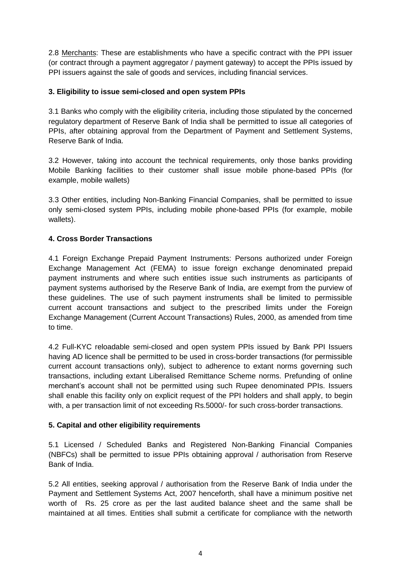2.8 Merchants: These are establishments who have a specific contract with the PPI issuer (or contract through a payment aggregator / payment gateway) to accept the PPIs issued by PPI issuers against the sale of goods and services, including financial services.

## **3. Eligibility to issue semi-closed and open system PPIs**

3.1 Banks who comply with the eligibility criteria, including those stipulated by the concerned regulatory department of Reserve Bank of India shall be permitted to issue all categories of PPIs, after obtaining approval from the Department of Payment and Settlement Systems, Reserve Bank of India.

3.2 However, taking into account the technical requirements, only those banks providing Mobile Banking facilities to their customer shall issue mobile phone-based PPIs (for example, mobile wallets)

3.3 Other entities, including Non-Banking Financial Companies, shall be permitted to issue only semi-closed system PPIs, including mobile phone-based PPIs (for example, mobile wallets).

## **4. Cross Border Transactions**

4.1 Foreign Exchange Prepaid Payment Instruments: Persons authorized under Foreign Exchange Management Act (FEMA) to issue foreign exchange denominated prepaid payment instruments and where such entities issue such instruments as participants of payment systems authorised by the Reserve Bank of India, are exempt from the purview of these guidelines. The use of such payment instruments shall be limited to permissible current account transactions and subject to the prescribed limits under the Foreign Exchange Management (Current Account Transactions) Rules, 2000, as amended from time to time.

4.2 Full-KYC reloadable semi-closed and open system PPIs issued by Bank PPI Issuers having AD licence shall be permitted to be used in cross-border transactions (for permissible current account transactions only), subject to adherence to extant norms governing such transactions, including extant Liberalised Remittance Scheme norms. Prefunding of online merchant's account shall not be permitted using such Rupee denominated PPIs. Issuers shall enable this facility only on explicit request of the PPI holders and shall apply, to begin with, a per transaction limit of not exceeding Rs.5000/- for such cross-border transactions.

#### **5. Capital and other eligibility requirements**

5.1 Licensed / Scheduled Banks and Registered Non-Banking Financial Companies (NBFCs) shall be permitted to issue PPIs obtaining approval / authorisation from Reserve Bank of India.

5.2 All entities, seeking approval / authorisation from the Reserve Bank of India under the Payment and Settlement Systems Act, 2007 henceforth, shall have a minimum positive net worth of Rs. 25 crore as per the last audited balance sheet and the same shall be maintained at all times. Entities shall submit a certificate for compliance with the networth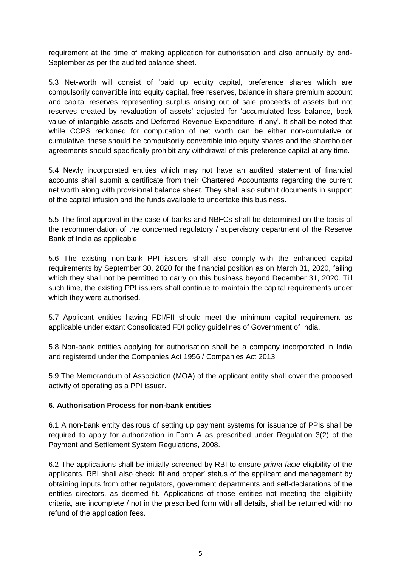requirement at the time of making application for authorisation and also annually by end-September as per the audited balance sheet.

5.3 Net-worth will consist of 'paid up equity capital, preference shares which are compulsorily convertible into equity capital, free reserves, balance in share premium account and capital reserves representing surplus arising out of sale proceeds of assets but not reserves created by revaluation of assets' adjusted for 'accumulated loss balance, book value of intangible assets and Deferred Revenue Expenditure, if any'. It shall be noted that while CCPS reckoned for computation of net worth can be either non-cumulative or cumulative, these should be compulsorily convertible into equity shares and the shareholder agreements should specifically prohibit any withdrawal of this preference capital at any time.

5.4 Newly incorporated entities which may not have an audited statement of financial accounts shall submit a certificate from their Chartered Accountants regarding the current net worth along with provisional balance sheet. They shall also submit documents in support of the capital infusion and the funds available to undertake this business.

5.5 The final approval in the case of banks and NBFCs shall be determined on the basis of the recommendation of the concerned regulatory / supervisory department of the Reserve Bank of India as applicable.

5.6 The existing non-bank PPI issuers shall also comply with the enhanced capital requirements by September 30, 2020 for the financial position as on March 31, 2020, failing which they shall not be permitted to carry on this business beyond December 31, 2020. Till such time, the existing PPI issuers shall continue to maintain the capital requirements under which they were authorised.

5.7 Applicant entities having FDI/FII should meet the minimum capital requirement as applicable under extant Consolidated FDI policy guidelines of Government of India.

5.8 Non-bank entities applying for authorisation shall be a company incorporated in India and registered under the Companies Act 1956 / Companies Act 2013.

5.9 The Memorandum of Association (MOA) of the applicant entity shall cover the proposed activity of operating as a PPI issuer.

#### **6. Authorisation Process for non-bank entities**

6.1 A non-bank entity desirous of setting up payment systems for issuance of PPIs shall be required to apply for authorization in Form A as prescribed under Regulation 3(2) of the Payment and Settlement System Regulations, 2008.

6.2 The applications shall be initially screened by RBI to ensure *prima facie* eligibility of the applicants. RBI shall also check 'fit and proper' status of the applicant and management by obtaining inputs from other regulators, government departments and self-declarations of the entities directors, as deemed fit. Applications of those entities not meeting the eligibility criteria, are incomplete / not in the prescribed form with all details, shall be returned with no refund of the application fees.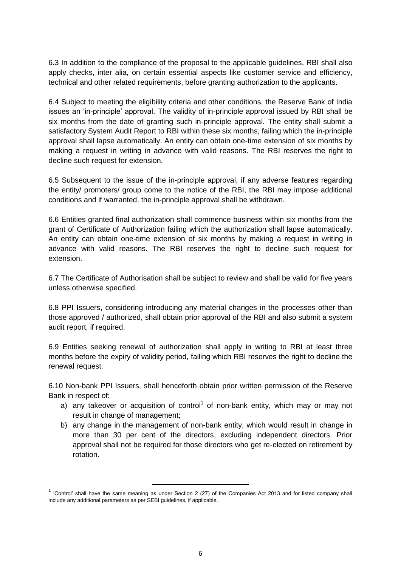6.3 In addition to the compliance of the proposal to the applicable guidelines, RBI shall also apply checks, inter alia, on certain essential aspects like customer service and efficiency, technical and other related requirements, before granting authorization to the applicants.

6.4 Subject to meeting the eligibility criteria and other conditions, the Reserve Bank of India issues an 'in-principle' approval. The validity of in-principle approval issued by RBI shall be six months from the date of granting such in-principle approval. The entity shall submit a satisfactory System Audit Report to RBI within these six months, failing which the in-principle approval shall lapse automatically. An entity can obtain one-time extension of six months by making a request in writing in advance with valid reasons. The RBI reserves the right to decline such request for extension.

6.5 Subsequent to the issue of the in-principle approval, if any adverse features regarding the entity/ promoters/ group come to the notice of the RBI, the RBI may impose additional conditions and if warranted, the in-principle approval shall be withdrawn.

6.6 Entities granted final authorization shall commence business within six months from the grant of Certificate of Authorization failing which the authorization shall lapse automatically. An entity can obtain one-time extension of six months by making a request in writing in advance with valid reasons. The RBI reserves the right to decline such request for extension.

6.7 The Certificate of Authorisation shall be subject to review and shall be valid for five years unless otherwise specified.

6.8 PPI Issuers, considering introducing any material changes in the processes other than those approved / authorized, shall obtain prior approval of the RBI and also submit a system audit report, if required.

6.9 Entities seeking renewal of authorization shall apply in writing to RBI at least three months before the expiry of validity period, failing which RBI reserves the right to decline the renewal request.

6.10 Non-bank PPI Issuers, shall henceforth obtain prior written permission of the Reserve Bank in respect of:

- a) any takeover or acquisition of control<sup>1</sup> of non-bank entity, which may or may not result in change of management;
- b) any change in the management of non-bank entity, which would result in change in more than 30 per cent of the directors, excluding independent directors. Prior approval shall not be required for those directors who get re-elected on retirement by rotation.

 $\overline{\phantom{a}}$ 

 $<sup>1</sup>$  'Control' shall have the same meaning as under Section 2 (27) of the Companies Act 2013 and for listed company shall</sup> include any additional parameters as per SEBI guidelines, if applicable.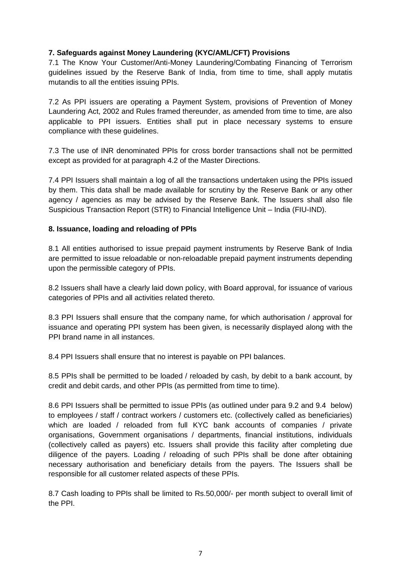## **7. Safeguards against Money Laundering (KYC/AML/CFT) Provisions**

7.1 The Know Your Customer/Anti-Money Laundering/Combating Financing of Terrorism guidelines issued by the Reserve Bank of India, from time to time, shall apply mutatis mutandis to all the entities issuing PPIs.

7.2 As PPI issuers are operating a Payment System, provisions of Prevention of Money Laundering Act, 2002 and Rules framed thereunder, as amended from time to time, are also applicable to PPI issuers. Entities shall put in place necessary systems to ensure compliance with these guidelines.

7.3 The use of INR denominated PPIs for cross border transactions shall not be permitted except as provided for at paragraph 4.2 of the Master Directions.

7.4 PPI Issuers shall maintain a log of all the transactions undertaken using the PPIs issued by them. This data shall be made available for scrutiny by the Reserve Bank or any other agency / agencies as may be advised by the Reserve Bank. The Issuers shall also file Suspicious Transaction Report (STR) to Financial Intelligence Unit – India (FIU-IND).

## **8. Issuance, loading and reloading of PPIs**

8.1 All entities authorised to issue prepaid payment instruments by Reserve Bank of India are permitted to issue reloadable or non-reloadable prepaid payment instruments depending upon the permissible category of PPIs.

8.2 Issuers shall have a clearly laid down policy, with Board approval, for issuance of various categories of PPIs and all activities related thereto.

8.3 PPI Issuers shall ensure that the company name, for which authorisation / approval for issuance and operating PPI system has been given, is necessarily displayed along with the PPI brand name in all instances.

8.4 PPI Issuers shall ensure that no interest is payable on PPI balances.

8.5 PPIs shall be permitted to be loaded / reloaded by cash, by debit to a bank account, by credit and debit cards, and other PPIs (as permitted from time to time).

8.6 PPI Issuers shall be permitted to issue PPIs (as outlined under para 9.2 and 9.4 below) to employees / staff / contract workers / customers etc. (collectively called as beneficiaries) which are loaded / reloaded from full KYC bank accounts of companies / private organisations, Government organisations / departments, financial institutions, individuals (collectively called as payers) etc. Issuers shall provide this facility after completing due diligence of the payers. Loading / reloading of such PPIs shall be done after obtaining necessary authorisation and beneficiary details from the payers. The Issuers shall be responsible for all customer related aspects of these PPIs.

8.7 Cash loading to PPIs shall be limited to Rs.50,000/- per month subject to overall limit of the PPI.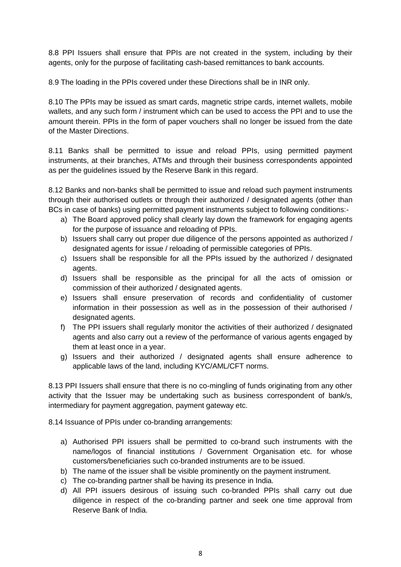8.8 PPI Issuers shall ensure that PPIs are not created in the system, including by their agents, only for the purpose of facilitating cash-based remittances to bank accounts.

8.9 The loading in the PPIs covered under these Directions shall be in INR only.

8.10 The PPIs may be issued as smart cards, magnetic stripe cards, internet wallets, mobile wallets, and any such form / instrument which can be used to access the PPI and to use the amount therein. PPIs in the form of paper vouchers shall no longer be issued from the date of the Master Directions.

8.11 Banks shall be permitted to issue and reload PPIs, using permitted payment instruments, at their branches, ATMs and through their business correspondents appointed as per the guidelines issued by the Reserve Bank in this regard.

8.12 Banks and non-banks shall be permitted to issue and reload such payment instruments through their authorised outlets or through their authorized / designated agents (other than BCs in case of banks) using permitted payment instruments subject to following conditions:-

- a) The Board approved policy shall clearly lay down the framework for engaging agents for the purpose of issuance and reloading of PPIs.
- b) Issuers shall carry out proper due diligence of the persons appointed as authorized / designated agents for issue / reloading of permissible categories of PPIs.
- c) Issuers shall be responsible for all the PPIs issued by the authorized / designated agents.
- d) Issuers shall be responsible as the principal for all the acts of omission or commission of their authorized / designated agents.
- e) Issuers shall ensure preservation of records and confidentiality of customer information in their possession as well as in the possession of their authorised / designated agents.
- f) The PPI issuers shall regularly monitor the activities of their authorized / designated agents and also carry out a review of the performance of various agents engaged by them at least once in a year.
- g) Issuers and their authorized / designated agents shall ensure adherence to applicable laws of the land, including KYC/AML/CFT norms.

8.13 PPI Issuers shall ensure that there is no co-mingling of funds originating from any other activity that the Issuer may be undertaking such as business correspondent of bank/s, intermediary for payment aggregation, payment gateway etc.

8.14 Issuance of PPIs under co-branding arrangements:

- a) Authorised PPI issuers shall be permitted to co-brand such instruments with the name/logos of financial institutions / Government Organisation etc. for whose customers/beneficiaries such co-branded instruments are to be issued.
- b) The name of the issuer shall be visible prominently on the payment instrument.
- c) The co-branding partner shall be having its presence in India.
- d) All PPI issuers desirous of issuing such co-branded PPIs shall carry out due diligence in respect of the co-branding partner and seek one time approval from Reserve Bank of India.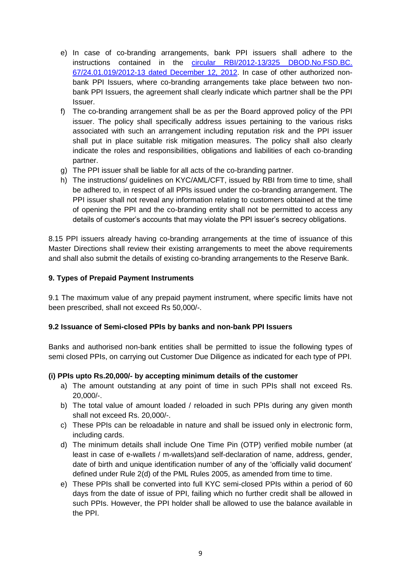- e) In case of co-branding arrangements, bank PPI issuers shall adhere to the instructions contained in the [circular RBI/2012-13/325](https://www.rbi.org.in/Scripts/NotificationUser.aspx?Id=7742&Mode=0) DBOD.No.FSD.BC. [67/24.01.019/2012-13 dated December 12, 2012.](https://www.rbi.org.in/Scripts/NotificationUser.aspx?Id=7742&Mode=0) In case of other authorized nonbank PPI Issuers, where co-branding arrangements take place between two nonbank PPI Issuers, the agreement shall clearly indicate which partner shall be the PPI Issuer.
- f) The co-branding arrangement shall be as per the Board approved policy of the PPI issuer. The policy shall specifically address issues pertaining to the various risks associated with such an arrangement including reputation risk and the PPI issuer shall put in place suitable risk mitigation measures. The policy shall also clearly indicate the roles and responsibilities, obligations and liabilities of each co-branding partner.
- g) The PPI issuer shall be liable for all acts of the co-branding partner.
- h) The instructions/ guidelines on KYC/AML/CFT, issued by RBI from time to time, shall be adhered to, in respect of all PPIs issued under the co-branding arrangement. The PPI issuer shall not reveal any information relating to customers obtained at the time of opening the PPI and the co-branding entity shall not be permitted to access any details of customer's accounts that may violate the PPI issuer's secrecy obligations.

8.15 PPI issuers already having co-branding arrangements at the time of issuance of this Master Directions shall review their existing arrangements to meet the above requirements and shall also submit the details of existing co-branding arrangements to the Reserve Bank.

#### **9. Types of Prepaid Payment Instruments**

9.1 The maximum value of any prepaid payment instrument, where specific limits have not been prescribed, shall not exceed Rs 50,000/-.

## **9.2 Issuance of Semi-closed PPIs by banks and non-bank PPI Issuers**

Banks and authorised non-bank entities shall be permitted to issue the following types of semi closed PPIs, on carrying out Customer Due Diligence as indicated for each type of PPI.

#### **(i) PPIs upto Rs.20,000/- by accepting minimum details of the customer**

- a) The amount outstanding at any point of time in such PPIs shall not exceed Rs. 20,000/-.
- b) The total value of amount loaded / reloaded in such PPIs during any given month shall not exceed Rs. 20,000/-.
- c) These PPIs can be reloadable in nature and shall be issued only in electronic form, including cards.
- d) The minimum details shall include One Time Pin (OTP) verified mobile number (at least in case of e-wallets / m-wallets)and self-declaration of name, address, gender, date of birth and unique identification number of any of the 'officially valid document' defined under Rule 2(d) of the PML Rules 2005, as amended from time to time.
- e) These PPIs shall be converted into full KYC semi-closed PPIs within a period of 60 days from the date of issue of PPI, failing which no further credit shall be allowed in such PPIs. However, the PPI holder shall be allowed to use the balance available in the PPI.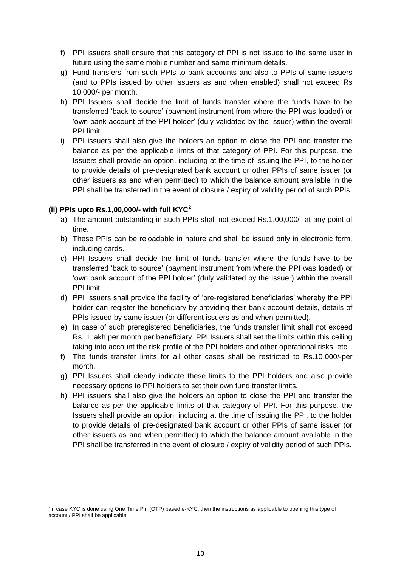- f) PPI issuers shall ensure that this category of PPI is not issued to the same user in future using the same mobile number and same minimum details.
- g) Fund transfers from such PPIs to bank accounts and also to PPIs of same issuers (and to PPIs issued by other issuers as and when enabled) shall not exceed Rs 10,000/- per month.
- h) PPI Issuers shall decide the limit of funds transfer where the funds have to be transferred 'back to source' (payment instrument from where the PPI was loaded) or 'own bank account of the PPI holder' (duly validated by the Issuer) within the overall PPI limit.
- i) PPI issuers shall also give the holders an option to close the PPI and transfer the balance as per the applicable limits of that category of PPI. For this purpose, the Issuers shall provide an option, including at the time of issuing the PPI, to the holder to provide details of pre-designated bank account or other PPIs of same issuer (or other issuers as and when permitted) to which the balance amount available in the PPI shall be transferred in the event of closure / expiry of validity period of such PPIs.

## **(ii) PPIs upto Rs.1,00,000/- with full KYC<sup>2</sup>**

- a) The amount outstanding in such PPIs shall not exceed Rs.1,00,000/- at any point of time.
- b) These PPIs can be reloadable in nature and shall be issued only in electronic form, including cards.
- c) PPI Issuers shall decide the limit of funds transfer where the funds have to be transferred 'back to source' (payment instrument from where the PPI was loaded) or 'own bank account of the PPI holder' (duly validated by the Issuer) within the overall PPI limit.
- d) PPI Issuers shall provide the facility of 'pre-registered beneficiaries' whereby the PPI holder can register the beneficiary by providing their bank account details, details of PPIs issued by same issuer (or different issuers as and when permitted).
- e) In case of such preregistered beneficiaries, the funds transfer limit shall not exceed Rs. 1 lakh per month per beneficiary. PPI Issuers shall set the limits within this ceiling taking into account the risk profile of the PPI holders and other operational risks, etc.
- f) The funds transfer limits for all other cases shall be restricted to Rs.10,000/-per month.
- g) PPI Issuers shall clearly indicate these limits to the PPI holders and also provide necessary options to PPI holders to set their own fund transfer limits.
- h) PPI issuers shall also give the holders an option to close the PPI and transfer the balance as per the applicable limits of that category of PPI. For this purpose, the Issuers shall provide an option, including at the time of issuing the PPI, to the holder to provide details of pre-designated bank account or other PPIs of same issuer (or other issuers as and when permitted) to which the balance amount available in the PPI shall be transferred in the event of closure / expiry of validity period of such PPIs.

 $\overline{\phantom{a}}$ 

<sup>&</sup>lt;sup>2</sup>In case KYC is done using One Time Pin (OTP) based e-KYC, then the instructions as applicable to opening this type of account / PPI shall be applicable.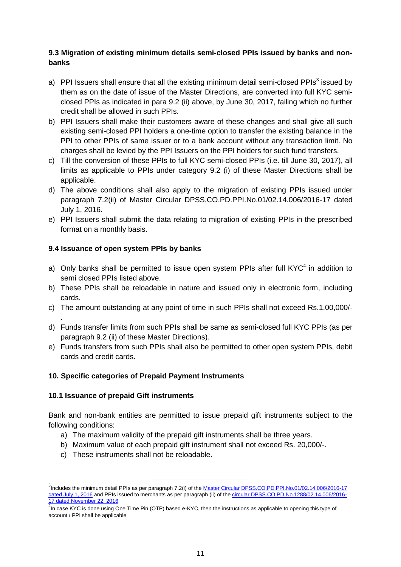## **9.3 Migration of existing minimum details semi-closed PPIs issued by banks and nonbanks**

- a) PPI Issuers shall ensure that all the existing minimum detail semi-closed PPIs $^3$  issued by them as on the date of issue of the Master Directions, are converted into full KYC semiclosed PPIs as indicated in para 9.2 (ii) above, by June 30, 2017, failing which no further credit shall be allowed in such PPIs.
- b) PPI Issuers shall make their customers aware of these changes and shall give all such existing semi-closed PPI holders a one-time option to transfer the existing balance in the PPI to other PPIs of same issuer or to a bank account without any transaction limit. No charges shall be levied by the PPI Issuers on the PPI holders for such fund transfers.
- c) Till the conversion of these PPIs to full KYC semi-closed PPIs (i.e. till June 30, 2017), all limits as applicable to PPIs under category 9.2 (i) of these Master Directions shall be applicable.
- d) The above conditions shall also apply to the migration of existing PPIs issued under paragraph 7.2(ii) of Master Circular DPSS.CO.PD.PPI.No.01/02.14.006/2016-17 dated July 1, 2016.
- e) PPI Issuers shall submit the data relating to migration of existing PPIs in the prescribed format on a monthly basis.

## **9.4 Issuance of open system PPIs by banks**

- a) Only banks shall be permitted to issue open system PPIs after full  $KYC<sup>4</sup>$  in addition to semi closed PPIs listed above.
- b) These PPIs shall be reloadable in nature and issued only in electronic form, including cards.
- c) The amount outstanding at any point of time in such PPIs shall not exceed Rs.1,00,000/-
- d) Funds transfer limits from such PPIs shall be same as semi-closed full KYC PPIs (as per paragraph 9.2 (ii) of these Master Directions).
- e) Funds transfers from such PPIs shall also be permitted to other open system PPIs, debit cards and credit cards.

#### **10. Specific categories of Prepaid Payment Instruments**

#### **10.1 Issuance of prepaid Gift instruments**

.

Bank and non-bank entities are permitted to issue prepaid gift instruments subject to the following conditions:

- a) The maximum validity of the prepaid gift instruments shall be three years.
- b) Maximum value of each prepaid gift instrument shall not exceed Rs. 20,000/-.
- c) These instruments shall not be reloadable.

 $\overline{\phantom{a}}$ 

<sup>&</sup>lt;sup>3</sup>Includes the minimum detail PPIs as per paragraph 7.2(i) of the Master Circular DPSS.CO.PD.PPI.No.01/02.14.006/2016-17 [dated July 1, 2016](https://www.rbi.org.in/Scripts/NotificationUser.aspx?Id=10510&Mode=0) and PPIs issued to merchants as per paragraph (ii) of the [circular DPSS.CO.PD.No.1288/02.14.006/2016-](https://www.rbi.org.in/Scripts/NotificationUser.aspx?Id=10734&Mode=0) [17 dated November 22, 2016](https://www.rbi.org.in/Scripts/NotificationUser.aspx?Id=10734&Mode=0)

 $\frac{4}{1}$ In case KYC is done using One Time Pin (OTP) based e-KYC, then the instructions as applicable to opening this type of account / PPI shall be applicable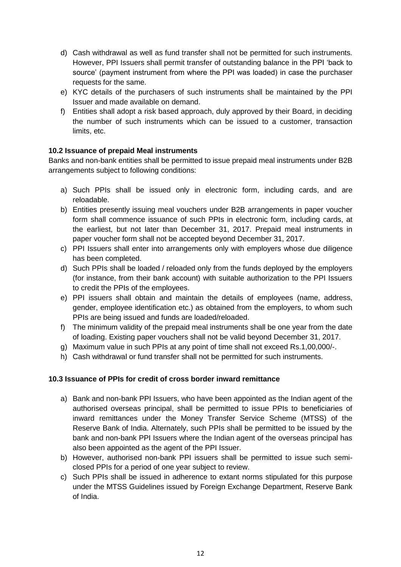- d) Cash withdrawal as well as fund transfer shall not be permitted for such instruments. However, PPI Issuers shall permit transfer of outstanding balance in the PPI 'back to source' (payment instrument from where the PPI was loaded) in case the purchaser requests for the same.
- e) KYC details of the purchasers of such instruments shall be maintained by the PPI Issuer and made available on demand.
- f) Entities shall adopt a risk based approach, duly approved by their Board, in deciding the number of such instruments which can be issued to a customer, transaction limits, etc.

## **10.2 Issuance of prepaid Meal instruments**

Banks and non-bank entities shall be permitted to issue prepaid meal instruments under B2B arrangements subject to following conditions:

- a) Such PPIs shall be issued only in electronic form, including cards, and are reloadable.
- b) Entities presently issuing meal vouchers under B2B arrangements in paper voucher form shall commence issuance of such PPIs in electronic form, including cards, at the earliest, but not later than December 31, 2017. Prepaid meal instruments in paper voucher form shall not be accepted beyond December 31, 2017.
- c) PPI Issuers shall enter into arrangements only with employers whose due diligence has been completed.
- d) Such PPIs shall be loaded / reloaded only from the funds deployed by the employers (for instance, from their bank account) with suitable authorization to the PPI Issuers to credit the PPIs of the employees.
- e) PPI issuers shall obtain and maintain the details of employees (name, address, gender, employee identification etc.) as obtained from the employers, to whom such PPIs are being issued and funds are loaded/reloaded.
- f) The minimum validity of the prepaid meal instruments shall be one year from the date of loading. Existing paper vouchers shall not be valid beyond December 31, 2017.
- g) Maximum value in such PPIs at any point of time shall not exceed Rs.1,00,000/-.
- h) Cash withdrawal or fund transfer shall not be permitted for such instruments.

## **10.3 Issuance of PPIs for credit of cross border inward remittance**

- a) Bank and non-bank PPI Issuers, who have been appointed as the Indian agent of the authorised overseas principal, shall be permitted to issue PPIs to beneficiaries of inward remittances under the Money Transfer Service Scheme (MTSS) of the Reserve Bank of India. Alternately, such PPIs shall be permitted to be issued by the bank and non-bank PPI Issuers where the Indian agent of the overseas principal has also been appointed as the agent of the PPI Issuer.
- b) However, authorised non-bank PPI issuers shall be permitted to issue such semiclosed PPIs for a period of one year subject to review.
- c) Such PPIs shall be issued in adherence to extant norms stipulated for this purpose under the MTSS Guidelines issued by Foreign Exchange Department, Reserve Bank of India.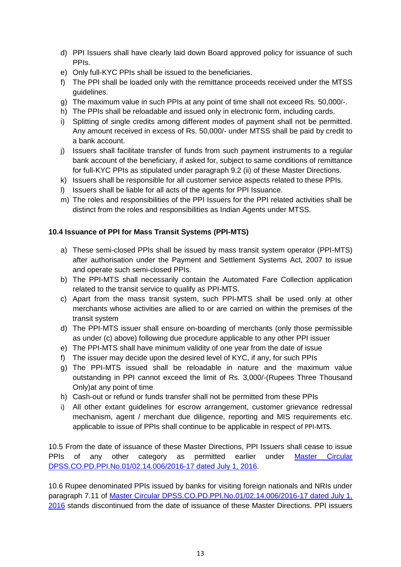- d) PPI Issuers shall have clearly laid down Board approved policy for issuance of such PPIs.
- e) Only full-KYC PPIs shall be issued to the beneficiaries.
- f) The PPI shall be loaded only with the remittance proceeds received under the MTSS guidelines.
- g) The maximum value in such PPIs at any point of time shall not exceed Rs. 50,000/-.
- h) The PPIs shall be reloadable and issued only in electronic form, including cards.
- i) Splitting of single credits among different modes of payment shall not be permitted. Any amount received in excess of Rs. 50,000/- under MTSS shall be paid by credit to a bank account.
- j) Issuers shall facilitate transfer of funds from such payment instruments to a regular bank account of the beneficiary, if asked for, subject to same conditions of remittance for full-KYC PPIs as stipulated under paragraph 9.2 (ii) of these Master Directions.
- k) Issuers shall be responsible for all customer service aspects related to these PPIs.
- l) Issuers shall be liable for all acts of the agents for PPI Issuance.
- m) The roles and responsibilities of the PPI Issuers for the PPI related activities shall be distinct from the roles and responsibilities as Indian Agents under MTSS.

## **10.4 Issuance of PPI for Mass Transit Systems (PPI-MTS)**

- a) These semi-closed PPIs shall be issued by mass transit system operator (PPI-MTS) after authorisation under the Payment and Settlement Systems Act, 2007 to issue and operate such semi-closed PPIs.
- b) The PPI-MTS shall necessarily contain the Automated Fare Collection application related to the transit service to qualify as PPI-MTS.
- c) Apart from the mass transit system, such PPI-MTS shall be used only at other merchants whose activities are allied to or are carried on within the premises of the transit system
- d) The PPI-MTS issuer shall ensure on-boarding of merchants (only those permissible as under (c) above) following due procedure applicable to any other PPI issuer
- e) The PPI-MTS shall have minimum validity of one year from the date of issue
- f) The issuer may decide upon the desired level of KYC, if any, for such PPIs
- g) The PPI-MTS issued shall be reloadable in nature and the maximum value outstanding in PPI cannot exceed the limit of Rs. 3,000/-(Rupees Three Thousand Only)at any point of time
- h) Cash-out or refund or funds transfer shall not be permitted from these PPIs
- i) All other extant guidelines for escrow arrangement, customer grievance redressal mechanism, agent / merchant due diligence, reporting and MIS requirements etc. applicable to issue of PPIs shall continue to be applicable in respect of PPI-MTS.

10.5 From the date of issuance of these Master Directions, PPI Issuers shall cease to issue PPIs of any other category as permitted earlier under Master Circular [DPSS.CO.PD.PPI.No.01/02.14.006/2016-17 dated July 1, 2016.](https://www.rbi.org.in/Scripts/NotificationUser.aspx?Id=10510&Mode=0)

10.6 Rupee denominated PPIs issued by banks for visiting foreign nationals and NRIs under paragraph 7.11 of Master Circular DPSS.CO.PD.PPI.No.01/02.14.006/2016-17 dated July 1, [2016](https://www.rbi.org.in/Scripts/NotificationUser.aspx?Id=10510&Mode=0) stands discontinued from the date of issuance of these Master Directions. PPI issuers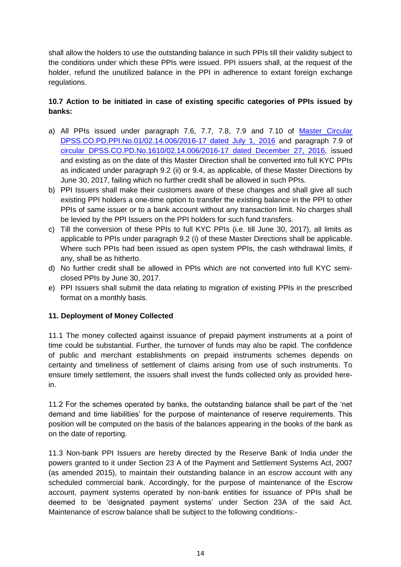shall allow the holders to use the outstanding balance in such PPIs till their validity subject to the conditions under which these PPIs were issued. PPI issuers shall, at the request of the holder, refund the unutilized balance in the PPI in adherence to extant foreign exchange regulations.

## **10.7 Action to be initiated in case of existing specific categories of PPIs issued by banks:**

- a) All PPIs issued under paragraph 7.6, 7.7, 7.8, 7.9 and 7.10 of [Master Circular](https://www.rbi.org.in/Scripts/NotificationUser.aspx?Id=10510&Mode=0)  [DPSS.CO.PD.PPI.No.01/02.14.006/2016-17 dated July 1, 2016](https://www.rbi.org.in/Scripts/NotificationUser.aspx?Id=10510&Mode=0) and paragraph 7.9 of [circular DPSS.CO.PD.No.1610/02.14.006/2016-17 dated December 27, 2016,](https://www.rbi.org.in/Scripts/NotificationUser.aspx?Id=10799&Mode=0) issued and existing as on the date of this Master Direction shall be converted into full KYC PPIs as indicated under paragraph 9.2 (ii) or 9.4, as applicable, of these Master Directions by June 30, 2017, failing which no further credit shall be allowed in such PPIs.
- b) PPI Issuers shall make their customers aware of these changes and shall give all such existing PPI holders a one-time option to transfer the existing balance in the PPI to other PPIs of same issuer or to a bank account without any transaction limit. No charges shall be levied by the PPI Issuers on the PPI holders for such fund transfers.
- c) Till the conversion of these PPIs to full KYC PPIs (i.e. till June 30, 2017), all limits as applicable to PPIs under paragraph 9.2 (i) of these Master Directions shall be applicable. Where such PPIs had been issued as open system PPIs, the cash withdrawal limits, if any, shall be as hitherto.
- d) No further credit shall be allowed in PPIs which are not converted into full KYC semiclosed PPIs by June 30, 2017.
- e) PPI Issuers shall submit the data relating to migration of existing PPIs in the prescribed format on a monthly basis.

## **11. Deployment of Money Collected**

11.1 The money collected against issuance of prepaid payment instruments at a point of time could be substantial. Further, the turnover of funds may also be rapid. The confidence of public and merchant establishments on prepaid instruments schemes depends on certainty and timeliness of settlement of claims arising from use of such instruments. To ensure timely settlement, the issuers shall invest the funds collected only as provided herein.

11.2 For the schemes operated by banks, the outstanding balance shall be part of the 'net demand and time liabilities' for the purpose of maintenance of reserve requirements. This position will be computed on the basis of the balances appearing in the books of the bank as on the date of reporting.

11.3 Non-bank PPI Issuers are hereby directed by the Reserve Bank of India under the powers granted to it under Section 23 A of the Payment and Settlement Systems Act, 2007 (as amended 2015), to maintain their outstanding balance in an escrow account with any scheduled commercial bank. Accordingly, for the purpose of maintenance of the Escrow account, payment systems operated by non-bank entities for issuance of PPIs shall be deemed to be 'designated payment systems' under Section 23A of the said Act. Maintenance of escrow balance shall be subject to the following conditions:-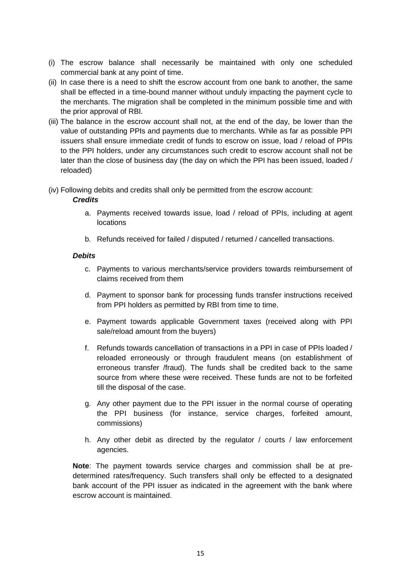- (i) The escrow balance shall necessarily be maintained with only one scheduled commercial bank at any point of time.
- (ii) In case there is a need to shift the escrow account from one bank to another, the same shall be effected in a time-bound manner without unduly impacting the payment cycle to the merchants. The migration shall be completed in the minimum possible time and with the prior approval of RBI.
- (iii) The balance in the escrow account shall not, at the end of the day, be lower than the value of outstanding PPIs and payments due to merchants. While as far as possible PPI issuers shall ensure immediate credit of funds to escrow on issue, load / reload of PPIs to the PPI holders, under any circumstances such credit to escrow account shall not be later than the close of business day (the day on which the PPI has been issued, loaded / reloaded)

(iv) Following debits and credits shall only be permitted from the escrow account:

## *Credits*

- a. Payments received towards issue, load / reload of PPIs, including at agent locations
- b. Refunds received for failed / disputed / returned / cancelled transactions.

## *Debits*

- c. Payments to various merchants/service providers towards reimbursement of claims received from them
- d. Payment to sponsor bank for processing funds transfer instructions received from PPI holders as permitted by RBI from time to time.
- e. Payment towards applicable Government taxes (received along with PPI sale/reload amount from the buyers)
- f. Refunds towards cancellation of transactions in a PPI in case of PPIs loaded / reloaded erroneously or through fraudulent means (on establishment of erroneous transfer /fraud). The funds shall be credited back to the same source from where these were received. These funds are not to be forfeited till the disposal of the case.
- g. Any other payment due to the PPI issuer in the normal course of operating the PPI business (for instance, service charges, forfeited amount, commissions)
- h. Any other debit as directed by the regulator / courts / law enforcement agencies.

**Note**: The payment towards service charges and commission shall be at predetermined rates/frequency. Such transfers shall only be effected to a designated bank account of the PPI issuer as indicated in the agreement with the bank where escrow account is maintained.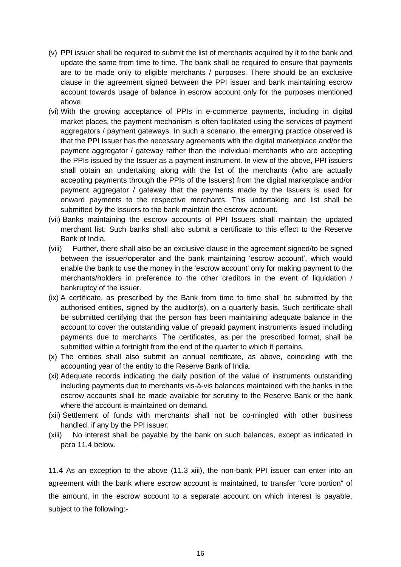- (v) PPI issuer shall be required to submit the list of merchants acquired by it to the bank and update the same from time to time. The bank shall be required to ensure that payments are to be made only to eligible merchants / purposes. There should be an exclusive clause in the agreement signed between the PPI issuer and bank maintaining escrow account towards usage of balance in escrow account only for the purposes mentioned above.
- (vi) With the growing acceptance of PPIs in e-commerce payments, including in digital market places, the payment mechanism is often facilitated using the services of payment aggregators / payment gateways. In such a scenario, the emerging practice observed is that the PPI Issuer has the necessary agreements with the digital marketplace and/or the payment aggregator / gateway rather than the individual merchants who are accepting the PPIs issued by the Issuer as a payment instrument. In view of the above, PPI issuers shall obtain an undertaking along with the list of the merchants (who are actually accepting payments through the PPIs of the Issuers) from the digital marketplace and/or payment aggregator / gateway that the payments made by the Issuers is used for onward payments to the respective merchants. This undertaking and list shall be submitted by the Issuers to the bank maintain the escrow account.
- (vii) Banks maintaining the escrow accounts of PPI Issuers shall maintain the updated merchant list. Such banks shall also submit a certificate to this effect to the Reserve Bank of India.
- (viii) Further, there shall also be an exclusive clause in the agreement signed/to be signed between the issuer/operator and the bank maintaining 'escrow account', which would enable the bank to use the money in the 'escrow account' only for making payment to the merchants/holders in preference to the other creditors in the event of liquidation / bankruptcy of the issuer.
- (ix) A certificate, as prescribed by the Bank from time to time shall be submitted by the authorised entities, signed by the auditor(s), on a quarterly basis. Such certificate shall be submitted certifying that the person has been maintaining adequate balance in the account to cover the outstanding value of prepaid payment instruments issued including payments due to merchants. The certificates, as per the prescribed format, shall be submitted within a fortnight from the end of the quarter to which it pertains.
- (x) The entities shall also submit an annual certificate, as above, coinciding with the accounting year of the entity to the Reserve Bank of India.
- (xi) Adequate records indicating the daily position of the value of instruments outstanding including payments due to merchants vis-à-vis balances maintained with the banks in the escrow accounts shall be made available for scrutiny to the Reserve Bank or the bank where the account is maintained on demand.
- (xii) Settlement of funds with merchants shall not be co-mingled with other business handled, if any by the PPI issuer.
- (xiii) No interest shall be payable by the bank on such balances, except as indicated in para 11.4 below.

11.4 As an exception to the above (11.3 xiii), the non-bank PPI issuer can enter into an agreement with the bank where escrow account is maintained, to transfer "core portion" of the amount, in the escrow account to a separate account on which interest is payable, subject to the following:-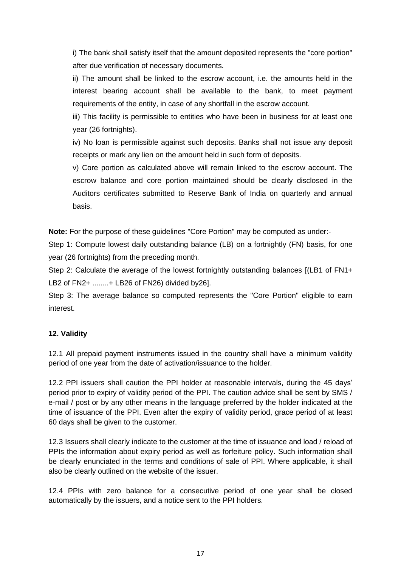i) The bank shall satisfy itself that the amount deposited represents the "core portion" after due verification of necessary documents.

ii) The amount shall be linked to the escrow account, i.e. the amounts held in the interest bearing account shall be available to the bank, to meet payment requirements of the entity, in case of any shortfall in the escrow account.

iii) This facility is permissible to entities who have been in business for at least one year (26 fortnights).

iv) No loan is permissible against such deposits. Banks shall not issue any deposit receipts or mark any lien on the amount held in such form of deposits.

v) Core portion as calculated above will remain linked to the escrow account. The escrow balance and core portion maintained should be clearly disclosed in the Auditors certificates submitted to Reserve Bank of India on quarterly and annual basis.

**Note:** For the purpose of these guidelines "Core Portion" may be computed as under:-

Step 1: Compute lowest daily outstanding balance (LB) on a fortnightly (FN) basis, for one year (26 fortnights) from the preceding month.

Step 2: Calculate the average of the lowest fortnightly outstanding balances [(LB1 of FN1+ LB2 of FN2+ ........+ LB26 of FN26) divided by26].

Step 3: The average balance so computed represents the "Core Portion" eligible to earn interest.

## **12. Validity**

12.1 All prepaid payment instruments issued in the country shall have a minimum validity period of one year from the date of activation/issuance to the holder.

12.2 PPI issuers shall caution the PPI holder at reasonable intervals, during the 45 days' period prior to expiry of validity period of the PPI. The caution advice shall be sent by SMS / e-mail / post or by any other means in the language preferred by the holder indicated at the time of issuance of the PPI. Even after the expiry of validity period, grace period of at least 60 days shall be given to the customer.

12.3 Issuers shall clearly indicate to the customer at the time of issuance and load / reload of PPIs the information about expiry period as well as forfeiture policy. Such information shall be clearly enunciated in the terms and conditions of sale of PPI. Where applicable, it shall also be clearly outlined on the website of the issuer.

12.4 PPIs with zero balance for a consecutive period of one year shall be closed automatically by the issuers, and a notice sent to the PPI holders.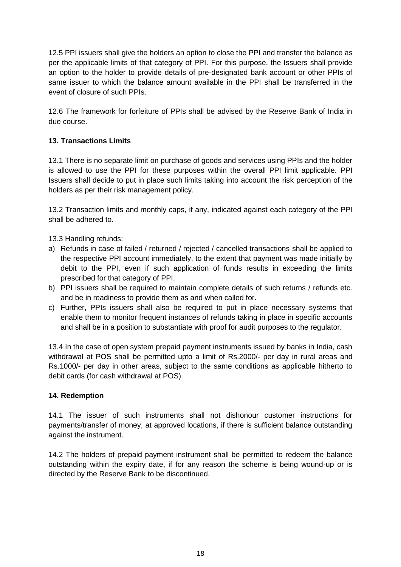12.5 PPI issuers shall give the holders an option to close the PPI and transfer the balance as per the applicable limits of that category of PPI. For this purpose, the Issuers shall provide an option to the holder to provide details of pre-designated bank account or other PPIs of same issuer to which the balance amount available in the PPI shall be transferred in the event of closure of such PPIs.

12.6 The framework for forfeiture of PPIs shall be advised by the Reserve Bank of India in due course.

## **13. Transactions Limits**

13.1 There is no separate limit on purchase of goods and services using PPIs and the holder is allowed to use the PPI for these purposes within the overall PPI limit applicable. PPI Issuers shall decide to put in place such limits taking into account the risk perception of the holders as per their risk management policy.

13.2 Transaction limits and monthly caps, if any, indicated against each category of the PPI shall be adhered to.

13.3 Handling refunds:

- a) Refunds in case of failed / returned / rejected / cancelled transactions shall be applied to the respective PPI account immediately, to the extent that payment was made initially by debit to the PPI, even if such application of funds results in exceeding the limits prescribed for that category of PPI.
- b) PPI issuers shall be required to maintain complete details of such returns / refunds etc. and be in readiness to provide them as and when called for.
- c) Further, PPIs issuers shall also be required to put in place necessary systems that enable them to monitor frequent instances of refunds taking in place in specific accounts and shall be in a position to substantiate with proof for audit purposes to the regulator.

13.4 In the case of open system prepaid payment instruments issued by banks in India, cash withdrawal at POS shall be permitted upto a limit of Rs.2000/- per day in rural areas and Rs.1000/- per day in other areas, subject to the same conditions as applicable hitherto to debit cards (for cash withdrawal at POS).

#### **14. Redemption**

14.1 The issuer of such instruments shall not dishonour customer instructions for payments/transfer of money, at approved locations, if there is sufficient balance outstanding against the instrument.

14.2 The holders of prepaid payment instrument shall be permitted to redeem the balance outstanding within the expiry date, if for any reason the scheme is being wound-up or is directed by the Reserve Bank to be discontinued.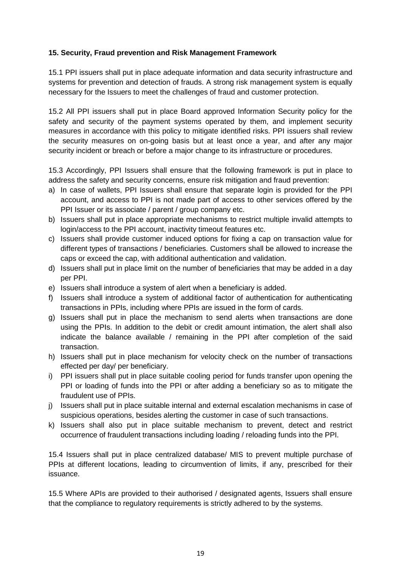## **15. Security, Fraud prevention and Risk Management Framework**

15.1 PPI issuers shall put in place adequate information and data security infrastructure and systems for prevention and detection of frauds. A strong risk management system is equally necessary for the Issuers to meet the challenges of fraud and customer protection.

15.2 All PPI issuers shall put in place Board approved Information Security policy for the safety and security of the payment systems operated by them, and implement security measures in accordance with this policy to mitigate identified risks. PPI issuers shall review the security measures on on-going basis but at least once a year, and after any major security incident or breach or before a major change to its infrastructure or procedures.

15.3 Accordingly, PPI Issuers shall ensure that the following framework is put in place to address the safety and security concerns, ensure risk mitigation and fraud prevention:

- a) In case of wallets, PPI Issuers shall ensure that separate login is provided for the PPI account, and access to PPI is not made part of access to other services offered by the PPI Issuer or its associate / parent / group company etc.
- b) Issuers shall put in place appropriate mechanisms to restrict multiple invalid attempts to login/access to the PPI account, inactivity timeout features etc.
- c) Issuers shall provide customer induced options for fixing a cap on transaction value for different types of transactions / beneficiaries. Customers shall be allowed to increase the caps or exceed the cap, with additional authentication and validation.
- d) Issuers shall put in place limit on the number of beneficiaries that may be added in a day per PPI.
- e) Issuers shall introduce a system of alert when a beneficiary is added.
- f) Issuers shall introduce a system of additional factor of authentication for authenticating transactions in PPIs, including where PPIs are issued in the form of cards.
- g) Issuers shall put in place the mechanism to send alerts when transactions are done using the PPIs. In addition to the debit or credit amount intimation, the alert shall also indicate the balance available / remaining in the PPI after completion of the said transaction.
- h) Issuers shall put in place mechanism for velocity check on the number of transactions effected per day/ per beneficiary.
- i) PPI issuers shall put in place suitable cooling period for funds transfer upon opening the PPI or loading of funds into the PPI or after adding a beneficiary so as to mitigate the fraudulent use of PPIs.
- j) Issuers shall put in place suitable internal and external escalation mechanisms in case of suspicious operations, besides alerting the customer in case of such transactions.
- k) Issuers shall also put in place suitable mechanism to prevent, detect and restrict occurrence of fraudulent transactions including loading / reloading funds into the PPI.

15.4 Issuers shall put in place centralized database/ MIS to prevent multiple purchase of PPIs at different locations, leading to circumvention of limits, if any, prescribed for their issuance.

15.5 Where APIs are provided to their authorised / designated agents, Issuers shall ensure that the compliance to regulatory requirements is strictly adhered to by the systems.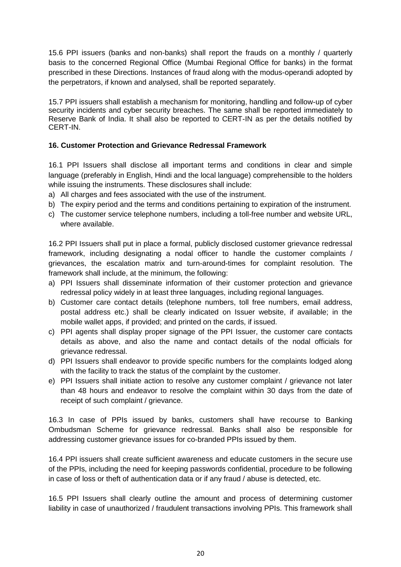15.6 PPI issuers (banks and non-banks) shall report the frauds on a monthly / quarterly basis to the concerned Regional Office (Mumbai Regional Office for banks) in the format prescribed in these Directions. Instances of fraud along with the modus-operandi adopted by the perpetrators, if known and analysed, shall be reported separately.

15.7 PPI issuers shall establish a mechanism for monitoring, handling and follow-up of cyber security incidents and cyber security breaches. The same shall be reported immediately to Reserve Bank of India. It shall also be reported to CERT-IN as per the details notified by CERT-IN.

#### **16. Customer Protection and Grievance Redressal Framework**

16.1 PPI Issuers shall disclose all important terms and conditions in clear and simple language (preferably in English, Hindi and the local language) comprehensible to the holders while issuing the instruments. These disclosures shall include:

- a) All charges and fees associated with the use of the instrument.
- b) The expiry period and the terms and conditions pertaining to expiration of the instrument.
- c) The customer service telephone numbers, including a toll-free number and website URL, where available.

16.2 PPI Issuers shall put in place a formal, publicly disclosed customer grievance redressal framework, including designating a nodal officer to handle the customer complaints / grievances, the escalation matrix and turn-around-times for complaint resolution. The framework shall include, at the minimum, the following:

- a) PPI Issuers shall disseminate information of their customer protection and grievance redressal policy widely in at least three languages, including regional languages.
- b) Customer care contact details (telephone numbers, toll free numbers, email address, postal address etc.) shall be clearly indicated on Issuer website, if available; in the mobile wallet apps, if provided; and printed on the cards, if issued.
- c) PPI agents shall display proper signage of the PPI Issuer, the customer care contacts details as above, and also the name and contact details of the nodal officials for grievance redressal.
- d) PPI Issuers shall endeavor to provide specific numbers for the complaints lodged along with the facility to track the status of the complaint by the customer.
- e) PPI Issuers shall initiate action to resolve any customer complaint / grievance not later than 48 hours and endeavor to resolve the complaint within 30 days from the date of receipt of such complaint / grievance.

16.3 In case of PPIs issued by banks, customers shall have recourse to Banking Ombudsman Scheme for grievance redressal. Banks shall also be responsible for addressing customer grievance issues for co-branded PPIs issued by them.

16.4 PPI issuers shall create sufficient awareness and educate customers in the secure use of the PPIs, including the need for keeping passwords confidential, procedure to be following in case of loss or theft of authentication data or if any fraud / abuse is detected, etc.

16.5 PPI Issuers shall clearly outline the amount and process of determining customer liability in case of unauthorized / fraudulent transactions involving PPIs. This framework shall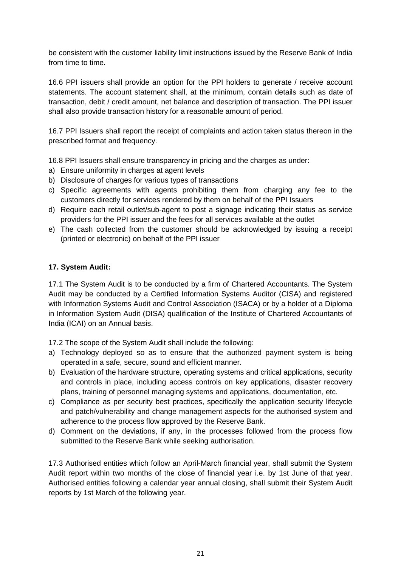be consistent with the customer liability limit instructions issued by the Reserve Bank of India from time to time.

16.6 PPI issuers shall provide an option for the PPI holders to generate / receive account statements. The account statement shall, at the minimum, contain details such as date of transaction, debit / credit amount, net balance and description of transaction. The PPI issuer shall also provide transaction history for a reasonable amount of period.

16.7 PPI Issuers shall report the receipt of complaints and action taken status thereon in the prescribed format and frequency.

16.8 PPI Issuers shall ensure transparency in pricing and the charges as under:

- a) Ensure uniformity in charges at agent levels
- b) Disclosure of charges for various types of transactions
- c) Specific agreements with agents prohibiting them from charging any fee to the customers directly for services rendered by them on behalf of the PPI Issuers
- d) Require each retail outlet/sub-agent to post a signage indicating their status as service providers for the PPI issuer and the fees for all services available at the outlet
- e) The cash collected from the customer should be acknowledged by issuing a receipt (printed or electronic) on behalf of the PPI issuer

## **17. System Audit:**

17.1 The System Audit is to be conducted by a firm of Chartered Accountants. The System Audit may be conducted by a Certified Information Systems Auditor (CISA) and registered with Information Systems Audit and Control Association (ISACA) or by a holder of a Diploma in Information System Audit (DISA) qualification of the Institute of Chartered Accountants of India (ICAI) on an Annual basis.

17.2 The scope of the System Audit shall include the following:

- a) Technology deployed so as to ensure that the authorized payment system is being operated in a safe, secure, sound and efficient manner.
- b) Evaluation of the hardware structure, operating systems and critical applications, security and controls in place, including access controls on key applications, disaster recovery plans, training of personnel managing systems and applications, documentation, etc.
- c) Compliance as per security best practices, specifically the application security lifecycle and patch/vulnerability and change management aspects for the authorised system and adherence to the process flow approved by the Reserve Bank.
- d) Comment on the deviations, if any, in the processes followed from the process flow submitted to the Reserve Bank while seeking authorisation.

17.3 Authorised entities which follow an April-March financial year, shall submit the System Audit report within two months of the close of financial year i.e. by 1st June of that year. Authorised entities following a calendar year annual closing, shall submit their System Audit reports by 1st March of the following year.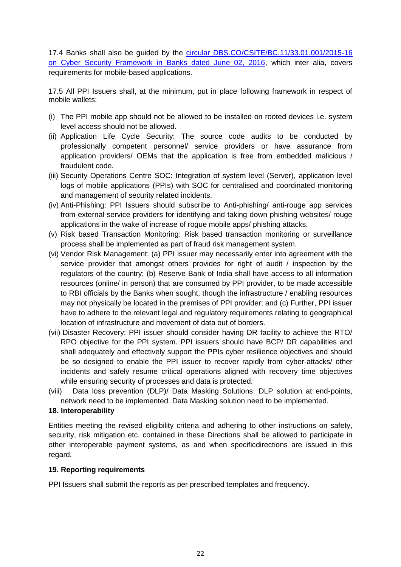17.4 Banks shall also be guided by the [circular DBS.CO/CSITE/BC.11/33.01.001/2015-16](https://www.rbi.org.in/Scripts/NotificationUser.aspx?Id=10435&Mode=0)  [on Cyber Security Framework in Banks dated June 02, 2016,](https://www.rbi.org.in/Scripts/NotificationUser.aspx?Id=10435&Mode=0) which inter alia, covers requirements for mobile-based applications.

17.5 All PPI Issuers shall, at the minimum, put in place following framework in respect of mobile wallets:

- (i) The PPI mobile app should not be allowed to be installed on rooted devices i.e. system level access should not be allowed.
- (ii) Application Life Cycle Security: The source code audits to be conducted by professionally competent personnel/ service providers or have assurance from application providers/ OEMs that the application is free from embedded malicious / fraudulent code.
- (iii) Security Operations Centre SOC: Integration of system level (Server), application level logs of mobile applications (PPIs) with SOC for centralised and coordinated monitoring and management of security related incidents.
- (iv) Anti-Phishing: PPI Issuers should subscribe to Anti-phishing/ anti-rouge app services from external service providers for identifying and taking down phishing websites/ rouge applications in the wake of increase of rogue mobile apps/ phishing attacks.
- (v) Risk based Transaction Monitoring: Risk based transaction monitoring or surveillance process shall be implemented as part of fraud risk management system.
- (vi) Vendor Risk Management: (a) PPI issuer may necessarily enter into agreement with the service provider that amongst others provides for right of audit / inspection by the regulators of the country; (b) Reserve Bank of India shall have access to all information resources (online/ in person) that are consumed by PPI provider, to be made accessible to RBI officials by the Banks when sought, though the infrastructure / enabling resources may not physically be located in the premises of PPI provider; and (c) Further, PPI issuer have to adhere to the relevant legal and regulatory requirements relating to geographical location of infrastructure and movement of data out of borders.
- (vii) Disaster Recovery: PPI issuer should consider having DR facility to achieve the RTO/ RPO objective for the PPI system. PPI issuers should have BCP/ DR capabilities and shall adequately and effectively support the PPIs cyber resilience objectives and should be so designed to enable the PPI issuer to recover rapidly from cyber-attacks/ other incidents and safely resume critical operations aligned with recovery time objectives while ensuring security of processes and data is protected.
- (viii) Data loss prevention (DLP)/ Data Masking Solutions: DLP solution at end-points, network need to be implemented. Data Masking solution need to be implemented.

#### **18. Interoperability**

Entities meeting the revised eligibility criteria and adhering to other instructions on safety, security, risk mitigation etc. contained in these Directions shall be allowed to participate in other interoperable payment systems, as and when specificdirections are issued in this regard.

#### **19. Reporting requirements**

PPI Issuers shall submit the reports as per prescribed templates and frequency.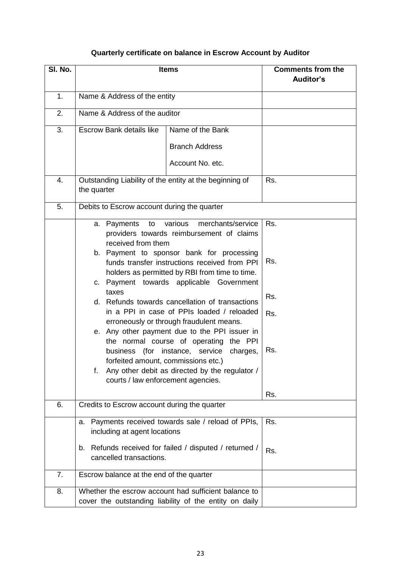# **Quarterly certificate on balance in Escrow Account by Auditor**

| SI. No. | <b>Items</b>                                                                                                                                                                                                                                                                                                                                                                                                                                                                                                               | <b>Comments from the</b><br>Auditor's |  |  |  |
|---------|----------------------------------------------------------------------------------------------------------------------------------------------------------------------------------------------------------------------------------------------------------------------------------------------------------------------------------------------------------------------------------------------------------------------------------------------------------------------------------------------------------------------------|---------------------------------------|--|--|--|
| 1.      | Name & Address of the entity                                                                                                                                                                                                                                                                                                                                                                                                                                                                                               |                                       |  |  |  |
| 2.      | Name & Address of the auditor                                                                                                                                                                                                                                                                                                                                                                                                                                                                                              |                                       |  |  |  |
| 3.      | <b>Escrow Bank details like</b><br>Name of the Bank<br><b>Branch Address</b><br>Account No. etc.                                                                                                                                                                                                                                                                                                                                                                                                                           |                                       |  |  |  |
| 4.      | Outstanding Liability of the entity at the beginning of<br>the quarter                                                                                                                                                                                                                                                                                                                                                                                                                                                     | Rs.                                   |  |  |  |
| 5.      | Debits to Escrow account during the quarter                                                                                                                                                                                                                                                                                                                                                                                                                                                                                |                                       |  |  |  |
|         | merchants/service<br>various<br>a. Payments<br>to<br>providers towards reimbursement of claims<br>received from them<br>b. Payment to sponsor bank for processing<br>funds transfer instructions received from PPI<br>holders as permitted by RBI from time to time.<br>Payment towards applicable Government<br>C.<br>taxes<br>d. Refunds towards cancellation of transactions<br>in a PPI in case of PPIs loaded / reloaded<br>erroneously or through fraudulent means.<br>e. Any other payment due to the PPI issuer in | Rs.<br>Rs.<br>Rs.<br>Rs.              |  |  |  |
|         | the normal course of operating the PPI<br>(for instance, service<br>charges,<br>business<br>forfeited amount, commissions etc.)<br>Any other debit as directed by the regulator /<br>f.<br>courts / law enforcement agencies.                                                                                                                                                                                                                                                                                              | Rs.<br>Rs.                            |  |  |  |
| 6.      | Credits to Escrow account during the quarter                                                                                                                                                                                                                                                                                                                                                                                                                                                                               |                                       |  |  |  |
|         | a. Payments received towards sale / reload of PPIs,<br>including at agent locations<br>b. Refunds received for failed / disputed / returned /<br>cancelled transactions.                                                                                                                                                                                                                                                                                                                                                   | Rs.<br>Rs.                            |  |  |  |
| 7.      | Escrow balance at the end of the quarter                                                                                                                                                                                                                                                                                                                                                                                                                                                                                   |                                       |  |  |  |
| 8.      | Whether the escrow account had sufficient balance to<br>cover the outstanding liability of the entity on daily                                                                                                                                                                                                                                                                                                                                                                                                             |                                       |  |  |  |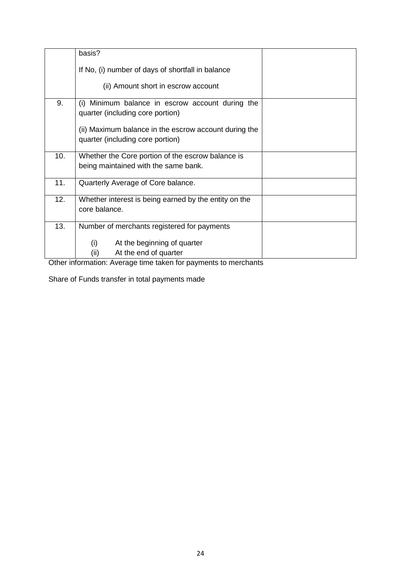|     | basis?                                                                                    |  |  |  |
|-----|-------------------------------------------------------------------------------------------|--|--|--|
|     | If No, (i) number of days of shortfall in balance                                         |  |  |  |
|     | (ii) Amount short in escrow account                                                       |  |  |  |
| 9.  | Minimum balance in escrow account during the<br>(i)<br>quarter (including core portion)   |  |  |  |
|     | (ii) Maximum balance in the escrow account during the<br>quarter (including core portion) |  |  |  |
| 10. | Whether the Core portion of the escrow balance is<br>being maintained with the same bank. |  |  |  |
| 11. | Quarterly Average of Core balance.                                                        |  |  |  |
| 12. | Whether interest is being earned by the entity on the<br>core balance.                    |  |  |  |
| 13. | Number of merchants registered for payments                                               |  |  |  |
|     | (i)<br>At the beginning of quarter<br>(ii)<br>At the end of quarter                       |  |  |  |

Other information: Average time taken for payments to merchants

Share of Funds transfer in total payments made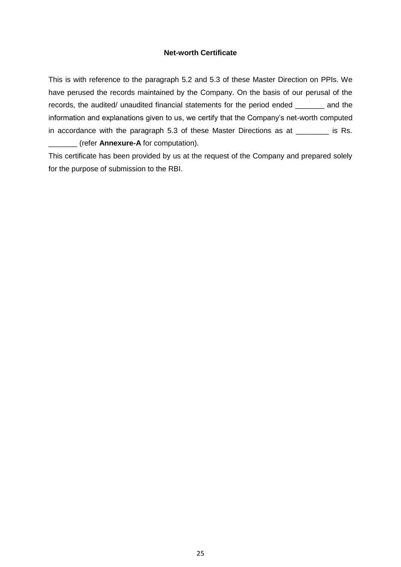#### **Net-worth Certificate**

This is with reference to the paragraph 5.2 and 5.3 of these Master Direction on PPIs. We have perused the records maintained by the Company. On the basis of our perusal of the records, the audited/ unaudited financial statements for the period ended \_\_\_\_\_\_\_ and the information and explanations given to us, we certify that the Company's net-worth computed in accordance with the paragraph 5.3 of these Master Directions as at \_\_\_\_\_\_\_\_ is Rs. \_\_\_\_\_\_\_ (refer **Annexure-A** for computation).

This certificate has been provided by us at the request of the Company and prepared solely for the purpose of submission to the RBI.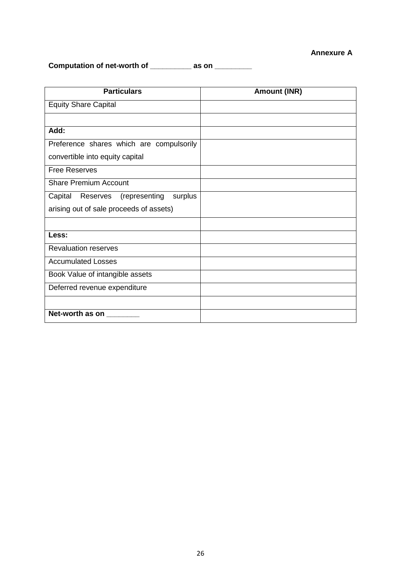#### **Annexure A**

**Computation of net-worth of \_\_\_\_\_\_\_\_\_\_ as on \_\_\_\_\_\_\_\_\_**

| <b>Particulars</b>                           | <b>Amount (INR)</b> |
|----------------------------------------------|---------------------|
| <b>Equity Share Capital</b>                  |                     |
|                                              |                     |
| Add:                                         |                     |
| Preference shares which are compulsorily     |                     |
| convertible into equity capital              |                     |
| <b>Free Reserves</b>                         |                     |
| <b>Share Premium Account</b>                 |                     |
| surplus<br>Capital<br>Reserves (representing |                     |
| arising out of sale proceeds of assets)      |                     |
|                                              |                     |
| Less:                                        |                     |
| <b>Revaluation reserves</b>                  |                     |
| <b>Accumulated Losses</b>                    |                     |
| Book Value of intangible assets              |                     |
| Deferred revenue expenditure                 |                     |
|                                              |                     |
| Net-worth as on                              |                     |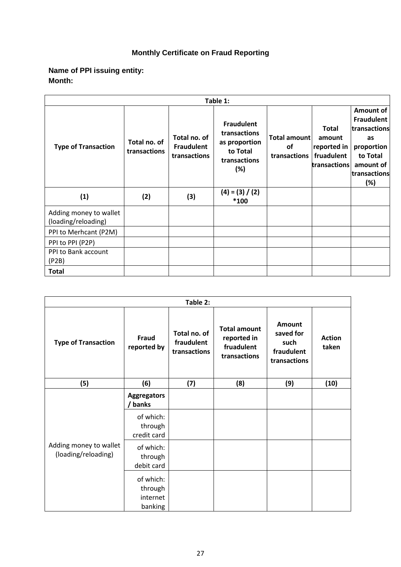# **Monthly Certificate on Fraud Reporting**

## **Name of PPI issuing entity: Month:**

| Table 1:                                      |                              |                                                   |                                                                                       |                                    |                                                                     |                                                                                                                    |
|-----------------------------------------------|------------------------------|---------------------------------------------------|---------------------------------------------------------------------------------------|------------------------------------|---------------------------------------------------------------------|--------------------------------------------------------------------------------------------------------------------|
| <b>Type of Transaction</b>                    | Total no. of<br>transactions | Total no. of<br><b>Fraudulent</b><br>transactions | <b>Fraudulent</b><br>transactions<br>as proportion<br>to Total<br>transactions<br>(%) | Total amount<br>οf<br>transactions | <b>Total</b><br>amount<br>reported in<br>fruadulent<br>transactions | Amount of<br><b>Fraudulent</b><br>transactions<br>as<br>proportion<br>to Total<br>amount of<br>transactions<br>(%) |
| (1)                                           | (2)                          | (3)                                               | $(4) = (3) / (2)$<br>$*100$                                                           |                                    |                                                                     |                                                                                                                    |
| Adding money to wallet<br>(loading/reloading) |                              |                                                   |                                                                                       |                                    |                                                                     |                                                                                                                    |
| PPI to Merhcant (P2M)                         |                              |                                                   |                                                                                       |                                    |                                                                     |                                                                                                                    |
| PPI to PPI (P2P)                              |                              |                                                   |                                                                                       |                                    |                                                                     |                                                                                                                    |
| PPI to Bank account<br>(P2B)                  |                              |                                                   |                                                                                       |                                    |                                                                     |                                                                                                                    |
| <b>Total</b>                                  |                              |                                                   |                                                                                       |                                    |                                                                     |                                                                                                                    |

| Table 2:                                      |                                             |                                            |                                                                  |                                                                  |                        |
|-----------------------------------------------|---------------------------------------------|--------------------------------------------|------------------------------------------------------------------|------------------------------------------------------------------|------------------------|
| <b>Type of Transaction</b>                    | Fraud<br>reported by                        | Total no. of<br>fraudulent<br>transactions | <b>Total amount</b><br>reported in<br>fruadulent<br>transactions | <b>Amount</b><br>saved for<br>such<br>fraudulent<br>transactions | <b>Action</b><br>taken |
| (5)                                           | (6)                                         | (7)                                        | (8)                                                              | (9)                                                              | (10)                   |
|                                               | <b>Aggregators</b><br>/ banks               |                                            |                                                                  |                                                                  |                        |
|                                               | of which:<br>through<br>credit card         |                                            |                                                                  |                                                                  |                        |
| Adding money to wallet<br>(loading/reloading) | of which:<br>through<br>debit card          |                                            |                                                                  |                                                                  |                        |
|                                               | of which:<br>through<br>internet<br>banking |                                            |                                                                  |                                                                  |                        |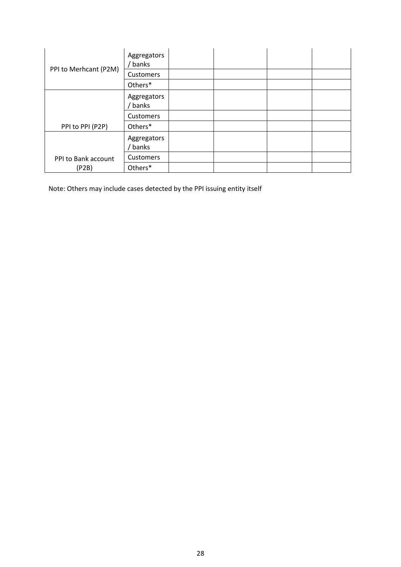|                       | Aggregators<br>banks |  |  |
|-----------------------|----------------------|--|--|
| PPI to Merhcant (P2M) | Customers            |  |  |
|                       | Others*              |  |  |
|                       | Aggregators<br>banks |  |  |
|                       | <b>Customers</b>     |  |  |
| PPI to PPI (P2P)      | Others*              |  |  |
|                       | Aggregators<br>banks |  |  |
| PPI to Bank account   | <b>Customers</b>     |  |  |
| (P2B)                 | Others*              |  |  |

Note: Others may include cases detected by the PPI issuing entity itself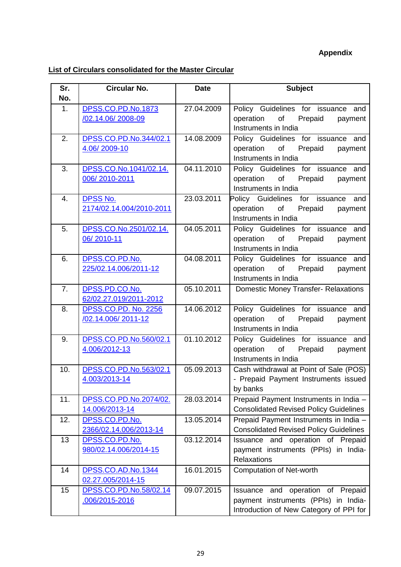# **Appendix**

# **List of Circulars consolidated for the Master Circular**

| Sr. | <b>Circular No.</b>                     | <b>Date</b> | <b>Subject</b>                                                                                                                                                                                                                                                                    |
|-----|-----------------------------------------|-------------|-----------------------------------------------------------------------------------------------------------------------------------------------------------------------------------------------------------------------------------------------------------------------------------|
| No. |                                         |             |                                                                                                                                                                                                                                                                                   |
| 1.  | DPSS.CO.PD.No.1873                      | 27.04.2009  | Policy Guidelines for issuance and                                                                                                                                                                                                                                                |
|     | /02.14.06/2008-09                       |             | of Prepaid<br>operation<br>payment                                                                                                                                                                                                                                                |
|     |                                         |             | Instruments in India                                                                                                                                                                                                                                                              |
| 2.  | DPSS.CO.PD.No.344/02.1                  | 14.08.2009  | Policy Guidelines for issuance and                                                                                                                                                                                                                                                |
|     | 4.06/2009-10                            |             | of the control of the control of the control of the control of the control of the control of the control of the control of the control of the control of the control of the control of the control of the control of the contr<br>operation<br>Prepaid<br>payment                 |
|     |                                         |             | Instruments in India                                                                                                                                                                                                                                                              |
| 3.  | DPSS.CO.No.1041/02.14.                  | 04.11.2010  | Policy Guidelines for issuance and                                                                                                                                                                                                                                                |
|     | 006/2010-2011                           |             | operation<br>of Prepaid<br>payment                                                                                                                                                                                                                                                |
|     |                                         |             | Instruments in India                                                                                                                                                                                                                                                              |
| 4.  | DPSS No.                                | 23.03.2011  | Policy Guidelines for issuance and<br>of the control                                                                                                                                                                                                                              |
|     | 2174/02.14.004/2010-2011                |             | Prepaid<br>operation<br>payment<br>Instruments in India                                                                                                                                                                                                                           |
| 5.  | DPSS.CO.No.2501/02.14.                  | 04.05.2011  | Policy Guidelines for issuance and                                                                                                                                                                                                                                                |
|     | 06/2010-11                              |             | operation of Prepaid<br>payment                                                                                                                                                                                                                                                   |
|     |                                         |             | Instruments in India                                                                                                                                                                                                                                                              |
| 6.  | DPSS.CO.PD.No.                          | 04.08.2011  | Policy Guidelines for issuance and                                                                                                                                                                                                                                                |
|     | 225/02.14.006/2011-12                   |             | operation<br>of the control of the control of the control of the control of the control of the control of the control of th<br>Prepaid<br>payment                                                                                                                                 |
|     |                                         |             | Instruments in India                                                                                                                                                                                                                                                              |
| 7.  | DPSS.PD.CO.No.                          | 05.10.2011  | <b>Domestic Money Transfer- Relaxations</b>                                                                                                                                                                                                                                       |
|     | 62/02.27.019/2011-2012                  |             |                                                                                                                                                                                                                                                                                   |
| 8.  | DPSS.CO.PD. No. 2256                    | 14.06.2012  | Policy Guidelines for issuance and                                                                                                                                                                                                                                                |
|     | /02.14.006/2011-12                      |             | of Prepaid<br>operation<br>payment                                                                                                                                                                                                                                                |
|     |                                         |             | Instruments in India                                                                                                                                                                                                                                                              |
| 9.  | DPSS.CO.PD.No.560/02.1<br>4.006/2012-13 | 01.10.2012  | Policy Guidelines for issuance and<br>of the control of the control of the control of the control of the control of the control of the control of the control of the control of the control of the control of the control of the control of the control of the contr<br>operation |
|     |                                         |             | Prepaid<br>payment<br>Instruments in India                                                                                                                                                                                                                                        |
| 10. | DPSS.CO.PD.No.563/02.1                  | 05.09.2013  | Cash withdrawal at Point of Sale (POS)                                                                                                                                                                                                                                            |
|     | 4.003/2013-14                           |             | - Prepaid Payment Instruments issued                                                                                                                                                                                                                                              |
|     |                                         |             | by banks                                                                                                                                                                                                                                                                          |
| 11. | DPSS.CO.PD.No.2074/02.                  | 28.03.2014  | Prepaid Payment Instruments in India -                                                                                                                                                                                                                                            |
|     | 14.006/2013-14                          |             | <b>Consolidated Revised Policy Guidelines</b>                                                                                                                                                                                                                                     |
| 12. | DPSS.CO.PD.No.                          | 13.05.2014  | Prepaid Payment Instruments in India -                                                                                                                                                                                                                                            |
|     | 2366/02.14.006/2013-14                  |             | <b>Consolidated Revised Policy Guidelines</b>                                                                                                                                                                                                                                     |
| 13  | DPSS.CO.PD.No.                          | 03.12.2014  | Issuance and operation of Prepaid                                                                                                                                                                                                                                                 |
|     | 980/02.14.006/2014-15                   |             | payment instruments (PPIs) in India-                                                                                                                                                                                                                                              |
|     |                                         |             | Relaxations                                                                                                                                                                                                                                                                       |
| 14  | DPSS.CO.AD.No.1344<br>02.27.005/2014-15 | 16.01.2015  | <b>Computation of Net-worth</b>                                                                                                                                                                                                                                                   |
| 15  | DPSS.CO.PD.No.58/02.14                  | 09.07.2015  | Issuance and operation of Prepaid                                                                                                                                                                                                                                                 |
|     | 006/2015-2016                           |             | payment instruments (PPIs) in India-                                                                                                                                                                                                                                              |
|     |                                         |             | Introduction of New Category of PPI for                                                                                                                                                                                                                                           |